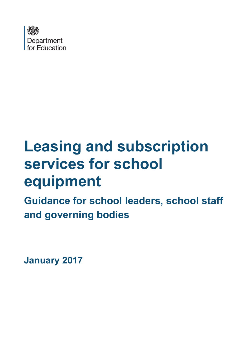

# **Leasing and subscription services for school equipment**

**Guidance for school leaders, school staff and governing bodies**

**January 2017**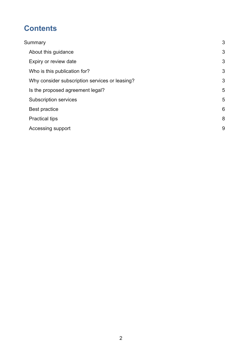## **Contents**

| Summary                                        | 3 |
|------------------------------------------------|---|
| About this guidance                            | 3 |
| Expiry or review date                          | 3 |
| Who is this publication for?                   | 3 |
| Why consider subscription services or leasing? | 3 |
| Is the proposed agreement legal?               | 5 |
| <b>Subscription services</b>                   | 5 |
| Best practice                                  | 6 |
| <b>Practical tips</b>                          | 8 |
| Accessing support                              | 9 |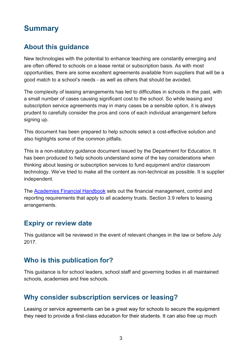## <span id="page-2-0"></span>**Summary**

#### <span id="page-2-1"></span>**About this guidance**

New technologies with the potential to enhance teaching are constantly emerging and are often offered to schools on a lease rental or subscription basis. As with most opportunities, there are some excellent agreements available from suppliers that will be a good match to a school's needs - as well as others that should be avoided.

The complexity of leasing arrangements has led to difficulties in schools in the past, with a small number of cases causing significant cost to the school. So while leasing and subscription service agreements may in many cases be a sensible option, it is always prudent to carefully consider the pros and cons of each individual arrangement before signing up.

This document has been prepared to help schools select a cost-effective solution and also highlights some of the common pitfalls.

This is a non-statutory guidance document issued by the Department for Education. It has been produced to help schools understand some of the key considerations when thinking about leasing or subscription services to fund equipment and/or classroom technology. We've tried to make all the content as non-technical as possible. It is supplier independent.

The [Academies Financial Handbook](https://www.gov.uk/government/uploads/system/uploads/attachment_data/file/535870/Academies_Financial_Handbook_2016_final.pdf) sets out the financial management, control and reporting requirements that apply to all academy trusts. Section 3.9 refers to leasing arrangements.

#### <span id="page-2-2"></span>**Expiry or review date**

This guidance will be reviewed in the event of relevant changes in the law or before July 2017.

#### <span id="page-2-3"></span>**Who is this publication for?**

This guidance is for school leaders, school staff and governing bodies in all maintained schools, academies and free schools.

#### <span id="page-2-4"></span>**Why consider subscription services or leasing?**

Leasing or service agreements can be a great way for schools to secure the equipment they need to provide a first-class education for their students. It can also free up much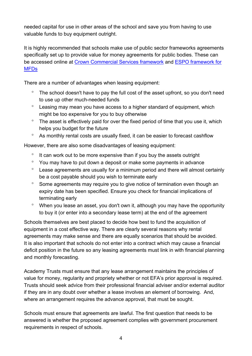needed capital for use in other areas of the school and save you from having to use valuable funds to buy equipment outright.

It is highly recommended that schools make use of public sector frameworks agreements specifically set up to provide value for money agreements for public bodies. These can be accessed online at [Crown Commercial Services framework](http://ccs-agreements.cabinetoffice.gov.uk/contracts/rm3781) and [ESPO framework for](https://www.espo.org/Frameworks/ICT-office-machines/Multifunctional-Devices,-Managed-Print-and-Content)  [MFDs](https://www.espo.org/Frameworks/ICT-office-machines/Multifunctional-Devices,-Managed-Print-and-Content)

There are a number of advantages when leasing equipment:

- ° The school doesn't have to pay the full cost of the asset upfront, so you don't need to use up other much-needed funds
- ° Leasing may mean you have access to a higher standard of equipment, which might be too expensive for you to buy otherwise
- ° The asset is effectively paid for over the fixed period of time that you use it, which helps you budget for the future
- ° As monthly rental costs are usually fixed, it can be easier to forecast cashflow

However, there are also some disadvantages of leasing equipment:

- ° It can work out to be more expensive than if you buy the assets outright
- ° You may have to put down a deposit or make some payments in advance
- ° Lease agreements are usually for a minimum period and there will almost certainly be a cost payable should you wish to terminate early
- ° Some agreements may require you to give notice of termination even though an expiry date has been specified. Ensure you check for financial implications of terminating early
- ° When you lease an asset, you don't own it, although you may have the opportunity to buy it (or enter into a secondary lease term) at the end of the agreement

Schools themselves are best placed to decide how best to fund the acquisition of equipment in a cost effective way. There are clearly several reasons why rental agreements may make sense and there are equally scenarios that should be avoided. It is also important that schools do not enter into a contract which may cause a financial deficit position in the future so any leasing agreements must link in with financial planning and monthly forecasting.

Academy Trusts must ensure that any lease arrangement maintains the principles of value for money, regularity and propriety whether or not EFA's prior approval is required. Trusts should seek advice from their professional financial adviser and/or external auditor if they are in any doubt over whether a lease involves an element of borrowing. And, where an arrangement requires the advance approval, that must be sought.

Schools must ensure that agreements are lawful. The first question that needs to be answered is whether the proposed agreement complies with government procurement requirements in respect of schools.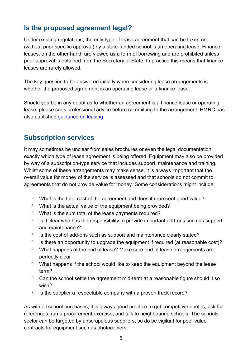## <span id="page-4-0"></span>**Is the proposed agreement legal?**

Under existing regulations, the only type of lease agreement that can be taken on (without prior specific approval) by a state-funded school is an operating lease. Finance leases, on the other hand, are viewed as a form of borrowing and are prohibited unless prior approval is obtained from the Secretary of State. In practice this means that finance leases are rarely allowed.

The key question to be answered initially when considering lease arrangements is whether the proposed agreement is an operating lease or a finance lease.

Should you be in any doubt as to whether an agreement is a finance lease or operating lease, please seek professional advice before committing to the arrangement. HMRC has also published [guidance on leasing.](https://www.gov.uk/hmrc-internal-manuals/business-leasing-manual/blm00040)

## <span id="page-4-1"></span>**Subscription services**

It may sometimes be unclear from sales brochures or even the legal documentation exactly which type of lease agreement is being offered. Equipment may also be provided by way of a subscription-type service that includes support, maintenance and training. Whilst some of these arrangements may make sense, it is always important that the overall value for money of the service is assessed and that schools do not commit to agreements that do not provide value for money. Some considerations might include:

- ° What is the total cost of the agreement and does it represent good value?
- ° What is the actual value of the equipment being provided?
- ° What is the sum total of the lease payments required?
- ° Is it clear who has the responsibility to provide important add-ons such as support and maintenance?
- ° Is the cost of add-ons such as support and maintenance clearly stated?
- ° Is there an opportunity to upgrade the equipment if required (at reasonable cost)?
- ° What happens at the end of lease? Make sure end of lease arrangements are perfectly clear
- ° What happens if the school would like to keep the equipment beyond the lease term?
- ° Can the school settle the agreement mid-term at a reasonable figure should it so wish?
- ° Is the supplier a respectable company with a proven track record?

As with all school purchases, it is always good practice to get competitive quotes, ask for references, run a procurement exercise, and talk to neighbouring schools. The schools sector can be targeted by unscrupulous suppliers, so do be vigilant for poor value contracts for equipment such as photocopiers.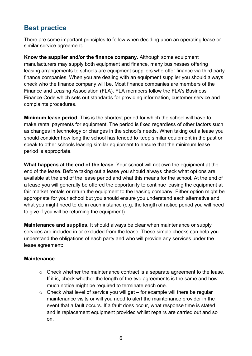## <span id="page-5-0"></span>**Best practice**

There are some important principles to follow when deciding upon an operating lease or similar service agreement.

**Know the supplier and/or the finance company.** Although some equipment manufacturers may supply both equipment and finance, many businesses offering leasing arrangements to schools are equipment suppliers who offer finance via third party finance companies. When you are dealing with an equipment supplier you should always check who the finance company will be. Most finance companies are members of the Finance and Leasing Association (FLA). FLA members follow the FLA's Business Finance Code which sets out standards for providing information, customer service and complaints procedures.

**Minimum lease period.** This is the shortest period for which the school will have to make rental payments for equipment. The period is fixed regardless of other factors such as changes in technology or changes in the school's needs. When taking out a lease you should consider how long the school has tended to keep similar equipment in the past or speak to other schools leasing similar equipment to ensure that the minimum lease period is appropriate.

**What happens at the end of the lease**. Your school will not own the equipment at the end of the lease. Before taking out a lease you should always check what options are available at the end of the lease period and what this means for the school. At the end of a lease you will generally be offered the opportunity to continue leasing the equipment at fair market rentals or return the equipment to the leasing company. Either option might be appropriate for your school but you should ensure you understand each alternative and what you might need to do in each instance (e.g. the length of notice period you will need to give if you will be returning the equipment).

**Maintenance and supplies.** It should always be clear when maintenance or supply services are included in or excluded from the lease. These simple checks can help you understand the obligations of each party and who will provide any services under the lease agreement:

#### **Maintenance**

- o Check whether the maintenance contract is a separate agreement to the lease. If it is, check whether the length of the two agreements is the same and how much notice might be required to terminate each one.
- $\circ$  Check what level of service you will get for example will there be regular maintenance visits or will you need to alert the maintenance provider in the event that a fault occurs. If a fault does occur, what response time is stated and is replacement equipment provided whilst repairs are carried out and so on.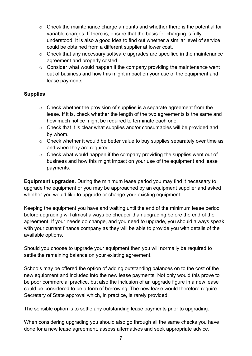- $\circ$  Check the maintenance charge amounts and whether there is the potential for variable charges, If there is, ensure that the basis for charging is fully understood. It is also a good idea to find out whether a similar level of service could be obtained from a different supplier at lower cost.
- o Check that any necessary software upgrades are specified in the maintenance agreement and properly costed.
- $\circ$  Consider what would happen if the company providing the maintenance went out of business and how this might impact on your use of the equipment and lease payments.

#### **Supplies**

- $\circ$  Check whether the provision of supplies is a separate agreement from the lease. If it is, check whether the length of the two agreements is the same and how much notice might be required to terminate each one.
- o Check that it is clear what supplies and/or consumables will be provided and by whom.
- o Check whether it would be better value to buy supplies separately over time as and when they are required.
- o Check what would happen if the company providing the supplies went out of business and how this might impact on your use of the equipment and lease payments.

**Equipment upgrades.** During the minimum lease period you may find it necessary to upgrade the equipment or you may be approached by an equipment supplier and asked whether you would like to upgrade or change your existing equipment.

Keeping the equipment you have and waiting until the end of the minimum lease period before upgrading will almost always be cheaper than upgrading before the end of the agreement. If your needs do change, and you need to upgrade, you should always speak with your current finance company as they will be able to provide you with details of the available options.

Should you choose to upgrade your equipment then you will normally be required to settle the remaining balance on your existing agreement.

Schools may be offered the option of adding outstanding balances on to the cost of the new equipment and included into the new lease payments. Not only would this prove to be poor commercial practice, but also the inclusion of an upgrade figure in a new lease could be considered to be a form of borrowing. The new lease would therefore require Secretary of State approval which, in practice, is rarely provided.

The sensible option is to settle any outstanding lease payments prior to upgrading.

When considering upgrading you should also go through all the same checks you have done for a new lease agreement, assess alternatives and seek appropriate advice.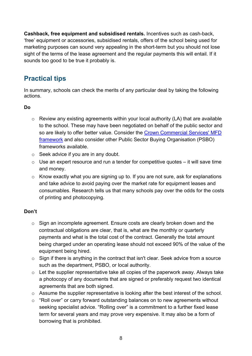**Cashback, free equipment and subsidised rentals.** Incentives such as cash-back, 'free' equipment or accessories, subsidised rentals, offers of the school being used for marketing purposes can sound very appealing in the short-term but you should not lose sight of the terms of the lease agreement and the regular payments this will entail. If it sounds too good to be true it probably is.

## <span id="page-7-0"></span>**Practical tips**

In summary, schools can check the merits of any particular deal by taking the following actions.

#### **Do**

- $\circ$  Review any existing agreements within your local authority (LA) that are available to the school. These may have been negotiated on behalf of the public sector and so are likely to offer better value. Consider the [Crown Commercial Services' MFD](http://ccs-agreements.cabinetoffice.gov.uk/contracts/rm3781)  [framework](http://ccs-agreements.cabinetoffice.gov.uk/contracts/rm3781) and also consider other Public Sector Buying Organisation (PSBO) frameworks available.
- $\circ$  Seek advice if you are in any doubt.
- $\circ$  Use an expert resource and run a tender for competitive quotes it will save time and money.
- $\circ$  Know exactly what you are signing up to. If you are not sure, ask for explanations and take advice to avoid paying over the market rate for equipment leases and consumables. Research tells us that many schools pay over the odds for the costs of printing and photocopying.

#### **Don't**

- o Sign an incomplete agreement. Ensure costs are clearly broken down and the contractual obligations are clear, that is, what are the monthly or quarterly payments and what is the total cost of the contract. Generally the total amount being charged under an operating lease should not exceed 90% of the value of the equipment being hired.
- o Sign if there is anything in the contract that isn't clear. Seek advice from a source such as the department, PSBO, or local authority.
- $\circ$  Let the supplier representative take all copies of the paperwork away. Always take a photocopy of any documents that are signed or preferably request two identical agreements that are both signed.
- o Assume the supplier representative is looking after the best interest of the school.
- o "Roll over" or carry forward outstanding balances on to new agreements without seeking specialist advice. "Rolling over" is a commitment to a further fixed lease term for several years and may prove very expensive. It may also be a form of borrowing that is prohibited.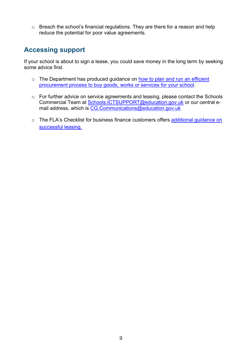o Breach the school's financial regulations. They are there for a reason and help reduce the potential for poor value agreements.

## <span id="page-8-0"></span>**Accessing support**

If your school is about to sign a lease, you could save money in the long term by seeking some advice first.

- o The Department has produced guidance on [how to plan and run an efficient](https://www.gov.uk/guidance/buying-for-schools)  [procurement process to buy goods, works or services for your school.](https://www.gov.uk/guidance/buying-for-schools)
- o For further advice on service agreements and leasing, please contact the Schools Commercial Team at [Schools.ICTSUPPORT@education.gov.uk](mailto:Schools.ICTSUPPORT@education.gov.uk) or our central email address, which is [CG.Communications@education.gov.uk](mailto:CG.Communications@education.gov.uk)
- o The FLA's Checklist for business finance customers offers additional guidance on [successful leasing.](http://www.fla.org.uk/index.php/business-finance/business-finance-code/)